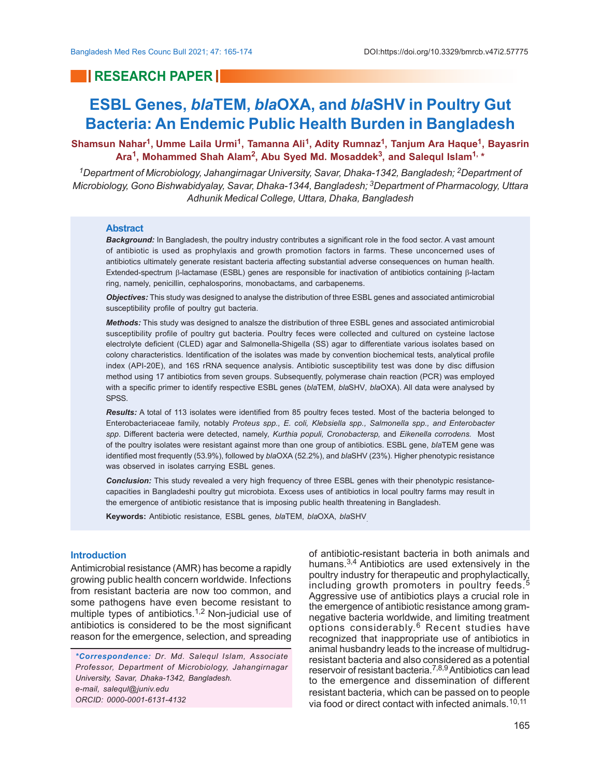## **RESEARCH PAPER**

# **ESBL Genes,** *bla***TEM,** *bla***OXA, and** *bla***SHV in Poultry Gut Bacteria: An Endemic Public Health Burden in Bangladesh**

**Shamsun Nahar<sup>1</sup> , Umme Laila Urmi<sup>1</sup> , Tamanna Ali<sup>1</sup> , Adity Rumnaz<sup>1</sup> , Tanjum Ara Haque<sup>1</sup> , Bayasrin** Ara<sup>1</sup>, Mohammed Shah Alam<sup>2</sup>, Abu Syed Md. Mosaddek<sup>3</sup>, and Salequl Islam<sup>1, \*</sup>

*<sup>1</sup>Department of Microbiology, Jahangirnagar University, Savar, Dhaka-1342, Bangladesh; 2Department of Microbiology, Gono Bishwabidyalay, Savar, Dhaka-1344, Bangladesh; 3Department of Pharmacology, Uttara Adhunik Medical College, Uttara, Dhaka, Bangladesh*

### **Abstract**

*Background:* In Bangladesh, the poultry industry contributes a significant role in the food sector. A vast amount of antibiotic is used as prophylaxis and growth promotion factors in farms. These unconcerned uses of antibiotics ultimately generate resistant bacteria affecting substantial adverse consequences on human health. Extended-spectrum  $\beta$ -lactamase (ESBL) genes are responsible for inactivation of antibiotics containing  $\beta$ -lactam ring, namely, penicillin, cephalosporins, monobactams, and carbapenems.

*Objectives:* This study was designed to analyse the distribution of three ESBL genes and associated antimicrobial susceptibility profile of poultry gut bacteria.

*Methods:* This study was designed to analsze the distribution of three ESBL genes and associated antimicrobial susceptibility profile of poultry gut bacteria. Poultry feces were collected and cultured on cysteine lactose electrolyte deficient (CLED) agar and Salmonella-Shigella (SS) agar to differentiate various isolates based on colony characteristics. Identification of the isolates was made by convention biochemical tests, analytical profile index (API-20E), and 16S rRNA sequence analysis. Antibiotic susceptibility test was done by disc diffusion method using 17 antibiotics from seven groups. Subsequently, polymerase chain reaction (PCR) was employed with a specific primer to identify respective ESBL genes (*bla*TEM*, bla*SHV*, bla*OXA). All data were analysed by SPSS.

*Results:* A total of 113 isolates were identified from 85 poultry feces tested. Most of the bacteria belonged to Enterobacteriaceae family, notably *Proteus spp., E. coli, Klebsiella spp., Salmonella spp., and Enterobacter spp*. Different bacteria were detected, namely*, Kurthia populi, Cronobactersp,* and *Eikenella corrodens.* Most of the poultry isolates were resistant against more than one group of antibiotics. ESBL gene, *bla*TEM gene was identified most frequently (53.9%), followed by *bla*OXA (52.2%), and *bla*SHV (23%). Higher phenotypic resistance was observed in isolates carrying ESBL genes.

*Conclusion:* This study revealed a very high frequency of three ESBL genes with their phenotypic resistancecapacities in Bangladeshi poultry gut microbiota. Excess uses of antibiotics in local poultry farms may result in the emergence of antibiotic resistance that is imposing public health threatening in Bangladesh.

**Keywords:** Antibiotic resistance*,* ESBL genes*, bla*TEM, *bla*OXA, *bla*SHV.

### **Introduction**

Antimicrobial resistance (AMR) has become a rapidly growing public health concern worldwide. Infections from resistant bacteria are now too common, and some pathogens have even become resistant to multiple types of antibiotics.<sup>1,2</sup> Non-judicial use of antibiotics is considered to be the most significant reason for the emergence, selection, and spreading

*\*Correspondence: Dr. Md. Salequl Islam, Associate Professor, Department of Microbiology, Jahangirnagar University, Savar, Dhaka-1342, Bangladesh. e-mail, salequl@juniv.edu ORCID: 0000-0001-6131-4132*

of antibiotic-resistant bacteria in both animals and humans.<sup>3,4</sup> Antibiotics are used extensively in the poultry industry for therapeutic and prophylactically, including growth promoters in poultry feeds.<sup>5</sup> Aggressive use of antibiotics plays a crucial role in the emergence of antibiotic resistance among gramnegative bacteria worldwide, and limiting treatment options considerably.<sup>6</sup> Recent studies have recognized that inappropriate use of antibiotics in animal husbandry leads to the increase of multidrugresistant bacteria and also considered as a potential reservoir of resistant bacteria.<sup>7,8,9</sup> Antibiotics can lead to the emergence and dissemination of different resistant bacteria, which can be passed on to people via food or direct contact with infected animals.<sup>10,11</sup>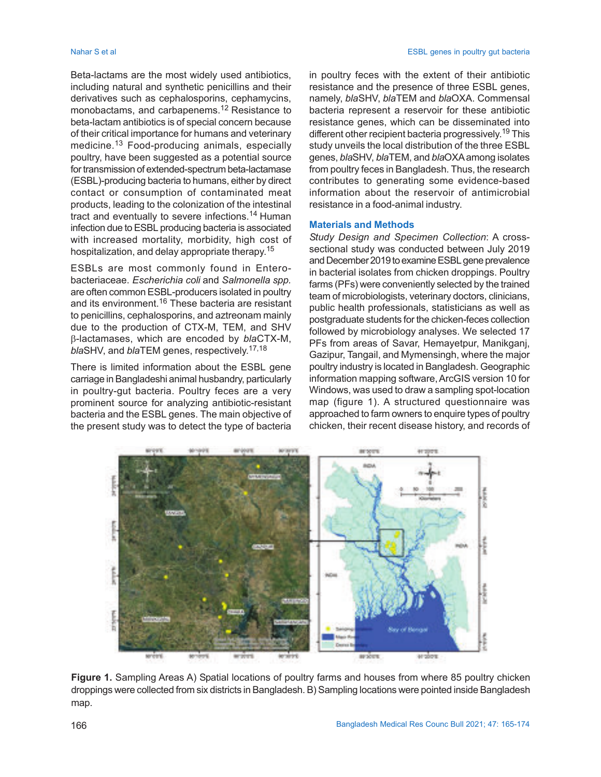Beta-lactams are the most widely used antibiotics, including natural and synthetic penicillins and their derivatives such as cephalosporins, cephamycins, monobactams, and carbapenems.12 Resistance to beta-lactam antibiotics is of special concern because of their critical importance for humans and veterinary medicine.13 Food-producing animals, especially poultry, have been suggested as a potential source for transmission of extended-spectrum beta-lactamase (ESBL)-producing bacteria to humans, either by direct contact or consumption of contaminated meat products, leading to the colonization of the intestinal tract and eventually to severe infections.<sup>14</sup> Human infection due to ESBL producing bacteria is associated with increased mortality, morbidity, high cost of hospitalization, and delay appropriate therapy. 15

ESBLs are most commonly found in Enterobacteriaceae. *Escherichia coli* and *Salmonella spp.* are often common ESBL-producers isolated in poultry and its environment.<sup>16</sup> These bacteria are resistant to penicillins, cephalosporins, and aztreonam mainly due to the production of CTX-M, TEM, and SHV b-lactamases, which are encoded by *bla*CTX-M, *bla*SHV, and *bla*TEM genes, respectively. 17,18

There is limited information about the ESBL gene carriage in Bangladeshi animal husbandry, particularly in poultry-gut bacteria. Poultry feces are a very prominent source for analyzing antibiotic-resistant bacteria and the ESBL genes. The main objective of the present study was to detect the type of bacteria in poultry feces with the extent of their antibiotic resistance and the presence of three ESBL genes, namely, *bla*SHV, *bla*TEM and *bla*OXA. Commensal bacteria represent a reservoir for these antibiotic resistance genes, which can be disseminated into different other recipient bacteria progressively. <sup>19</sup> This study unveils the local distribution of the three ESBL genes, *bla*SHV, *bla*TEM, and *bla*OXA among isolates from poultry feces in Bangladesh. Thus, the research contributes to generating some evidence-based information about the reservoir of antimicrobial resistance in a food-animal industry.

### **Materials and Methods**

*Study Design and Specimen Collection*: A crosssectional study was conducted between July 2019 and December 2019 to examine ESBL gene prevalence in bacterial isolates from chicken droppings. Poultry farms (PFs) were conveniently selected by the trained team of microbiologists, veterinary doctors, clinicians, public health professionals, statisticians as well as postgraduate students for the chicken-feces collection followed by microbiology analyses. We selected 17 PFs from areas of Savar, Hemayetpur, Manikganj, Gazipur, Tangail, and Mymensingh, where the major poultry industry is located in Bangladesh. Geographic information mapping software, ArcGIS version 10 for Windows, was used to draw a sampling spot-location map (figure 1). A structured questionnaire was approached to farm owners to enquire types of poultry chicken, their recent disease history, and records of



**Figure 1.** Sampling Areas A) Spatial locations of poultry farms and houses from where 85 poultry chicken droppings were collected from six districts in Bangladesh. B) Sampling locations were pointed inside Bangladesh map.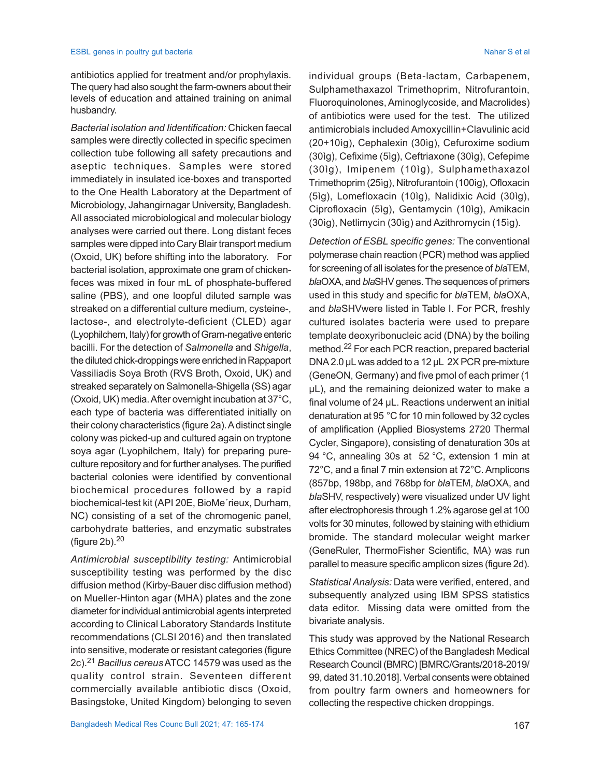antibiotics applied for treatment and/or prophylaxis. The query had also sought the farm-owners about their levels of education and attained training on animal husbandry.

*Bacterial isolation and Iidentification:* Chicken faecal samples were directly collected in specific specimen collection tube following all safety precautions and aseptic techniques. Samples were stored immediately in insulated ice-boxes and transported to the One Health Laboratory at the Department of Microbiology, Jahangirnagar University, Bangladesh. All associated microbiological and molecular biology analyses were carried out there. Long distant feces samples were dipped into Cary Blair transport medium (Oxoid, UK) before shifting into the laboratory. For bacterial isolation, approximate one gram of chickenfeces was mixed in four mL of phosphate-buffered saline (PBS), and one loopful diluted sample was streaked on a differential culture medium, cysteine-, lactose-, and electrolyte-deficient (CLED) agar (Lyophilchem, Italy) for growth of Gram-negative enteric bacilli. For the detection of *Salmonella* and *Shigella*, the diluted chick-droppings were enriched in Rappaport Vassiliadis Soya Broth (RVS Broth, Oxoid, UK) and streaked separately on Salmonella-Shigella (SS) agar (Oxoid, UK) media. After overnight incubation at 37°C, each type of bacteria was differentiated initially on their colony characteristics (figure 2a). A distinct single colony was picked-up and cultured again on tryptone soya agar (Lyophilchem, Italy) for preparing pureculture repository and for further analyses. The purified bacterial colonies were identified by conventional biochemical procedures followed by a rapid biochemical-test kit (API 20E, BioMe´rieux, Durham, NC) consisting of a set of the chromogenic panel, carbohydrate batteries, and enzymatic substrates (figure  $2b$ ). $20$ 

*Antimicrobial susceptibility testing:* Antimicrobial susceptibility testing was performed by the disc diffusion method (Kirby-Bauer disc diffusion method) on Mueller-Hinton agar (MHA) plates and the zone diameter for individual antimicrobial agents interpreted according to Clinical Laboratory Standards Institute recommendations (CLSI 2016) and then translated into sensitive, moderate or resistant categories (figure 2c).<sup>21</sup> *Bacillus cereus* ATCC 14579 was used as the quality control strain. Seventeen different commercially available antibiotic discs (Oxoid, Basingstoke, United Kingdom) belonging to seven

individual groups (Beta-lactam, Carbapenem, Sulphamethaxazol Trimethoprim, Nitrofurantoin, Fluoroquinolones, Aminoglycoside, and Macrolides) of antibiotics were used for the test. The utilized antimicrobials included Amoxycillin+Clavulinic acid (20+10ìg), Cephalexin (30ìg), Cefuroxime sodium (30ìg), Cefixime (5ìg), Ceftriaxone (30ìg), Cefepime (30ìg), Imipenem (10ìg), Sulphamethaxazol Trimethoprim (25ìg), Nitrofurantoin (100ìg), Ofloxacin (5ìg), Lomefloxacin (10ìg), Nalidixic Acid (30ìg), Ciprofloxacin (5ìg), Gentamycin (10ìg), Amikacin (30ìg), Netlimycin (30ìg) and Azithromycin (15ìg).

*Detection of ESBL specific genes:* The conventional polymerase chain reaction (PCR) method was applied for screening of all isolates for the presence of *bla*TEM, *bla*OXA, and *bla*SHV genes. The sequences of primers used in this study and specific for *bla*TEM, *bla*OXA, and *bla*SHVwere listed in Table I. For PCR, freshly cultured isolates bacteria were used to prepare template deoxyribonucleic acid (DNA) by the boiling method.22 For each PCR reaction, prepared bacterial DNA 2.0 µL was added to a 12 µL 2X PCR pre-mixture (GeneON, Germany) and five pmol of each primer (1 µL), and the remaining deionized water to make a final volume of 24 µL. Reactions underwent an initial denaturation at 95 °C for 10 min followed by 32 cycles of amplification (Applied Biosystems 2720 Thermal Cycler, Singapore), consisting of denaturation 30s at 94 °C, annealing 30s at 52 °C, extension 1 min at 72°C, and a final 7 min extension at 72°C. Amplicons (857bp, 198bp, and 768bp for *bla*TEM, *bla*OXA, and *bla*SHV, respectively) were visualized under UV light after electrophoresis through 1.2% agarose gel at 100 volts for 30 minutes, followed by staining with ethidium bromide. The standard molecular weight marker (GeneRuler, ThermoFisher Scientific, MA) was run parallel to measure specific amplicon sizes (figure 2d).

*Statistical Analysis:* Data were verified, entered, and subsequently analyzed using IBM SPSS statistics data editor. Missing data were omitted from the bivariate analysis.

This study was approved by the National Research Ethics Committee (NREC) of the Bangladesh Medical Research Council (BMRC) [BMRC/Grants/2018-2019/ 99, dated 31.10.2018]. Verbal consents were obtained from poultry farm owners and homeowners for collecting the respective chicken droppings.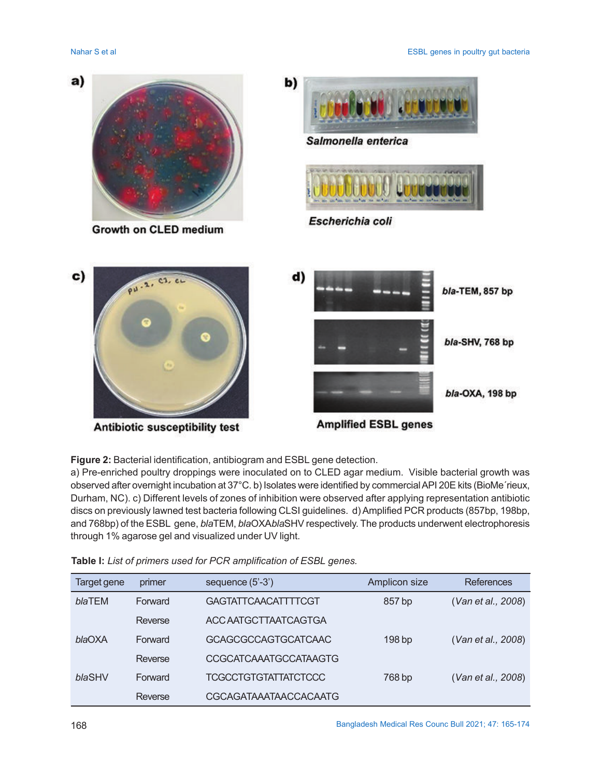

Growth on CLED medium





Escherichia coli



Antibiotic susceptibility test



**Figure 2:** Bacterial identification, antibiogram and ESBL gene detection.

a) Pre-enriched poultry droppings were inoculated on to CLED agar medium. Visible bacterial growth was observed after overnight incubation at 37°C. b) Isolates were identified by commercial API 20E kits (BioMe´rieux, Durham, NC). c) Different levels of zones of inhibition were observed after applying representation antibiotic discs on previously lawned test bacteria following CLSI guidelines. d) Amplified PCR products (857bp, 198bp, and 768bp) of the ESBL gene, *bla*TEM, *bla*OXA*bla*SHV respectively. The products underwent electrophoresis through 1% agarose gel and visualized under UV light.

| Target gene | primer  | sequence $(5'-3')$           | Amplicon size     | References         |
|-------------|---------|------------------------------|-------------------|--------------------|
| blaTEM      | Forward | <b>GAGTATTCAACATTTTCGT</b>   | 857 bp            | (Van et al., 2008) |
|             | Reverse | ACC AATGCTTAATCAGTGA         |                   |                    |
| blaOXA      | Forward | <b>GCAGCGCCAGTGCATCAAC</b>   | 198 <sub>bp</sub> | (Van et al., 2008) |
|             | Reverse | <b>CCGCATCAAATGCCATAAGTG</b> |                   |                    |
| blaSHV      | Forward | <b>TCGCCTGTGTATTATCTCCC</b>  | 768 bp            | (Van et al., 2008) |
|             | Reverse | CGCAGATAAATAACCACAATG        |                   |                    |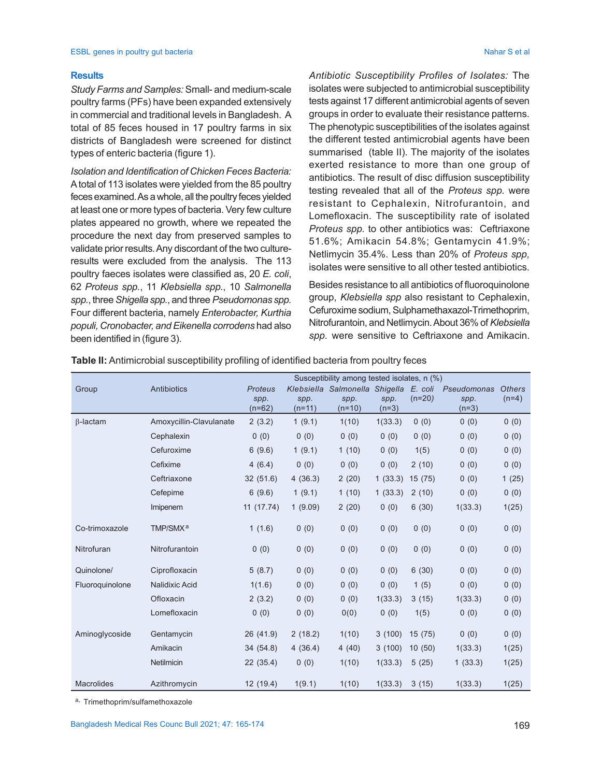### ESBL genes in poultry gut bacteria Nahar S et al. Nahar S et al. Nahar S et al. Nahar S et al. Nahar S et al.

### **Results**

*Study Farms and Samples:* Small- and medium-scale poultry farms (PFs) have been expanded extensively in commercial and traditional levels in Bangladesh. A total of 85 feces housed in 17 poultry farms in six districts of Bangladesh were screened for distinct types of enteric bacteria (figure 1).

*Isolation and Identification of Chicken Feces Bacteria:* A total of 113 isolates were yielded from the 85 poultry feces examined. As a whole, all the poultry feces yielded at least one or more types of bacteria. Very few culture plates appeared no growth, where we repeated the procedure the next day from preserved samples to validate prior results. Any discordant of the two cultureresults were excluded from the analysis. The 113 poultry faeces isolates were classified as, 20 *E. coli*, 62 *Proteus spp.*, 11 *Klebsiella spp.*, 10 *Salmonella spp.*, three *Shigella spp.*, and three *Pseudomonas spp.* Four different bacteria, namely *Enterobacter, Kurthia populi, Cronobacter, and Eikenella corrodens* had also been identified in (figure 3).

*Antibiotic Susceptibility Profiles of Isolates:* The isolates were subjected to antimicrobial susceptibility tests against 17 different antimicrobial agents of seven groups in order to evaluate their resistance patterns. The phenotypic susceptibilities of the isolates against the different tested antimicrobial agents have been summarised (table II). The majority of the isolates exerted resistance to more than one group of antibiotics. The result of disc diffusion susceptibility testing revealed that all of the *Proteus spp.* were resistant to Cephalexin, Nitrofurantoin, and Lomefloxacin. The susceptibility rate of isolated *Proteus spp.* to other antibiotics was: Ceftriaxone 51.6%; Amikacin 54.8%; Gentamycin 41.9%; Netlimycin 35.4%. Less than 20% of *Proteus spp,* isolates were sensitive to all other tested antibiotics.

Besides resistance to all antibiotics of fluoroquinolone group, *Klebsiella spp* also resistant to Cephalexin, Cefuroxime sodium, Sulphamethaxazol-Trimethoprim, Nitrofurantoin, and Netlimycin. About 36% of *Klebsiella spp.* were sensitive to Ceftriaxone and Amikacin.

|                   |                         | Susceptibility among tested isolates, n (%) |          |                                |         |          |             |               |
|-------------------|-------------------------|---------------------------------------------|----------|--------------------------------|---------|----------|-------------|---------------|
| Group             | Antibiotics             | <b>Proteus</b>                              |          | Klebsiella Salmonella Shigella |         | E. coli  | Pseudomonas | <b>Others</b> |
|                   |                         | spp.                                        | spp.     | spp.                           | spp.    | $(n=20)$ | spp.        | $(n=4)$       |
|                   |                         | $(n=62)$                                    | $(n=11)$ | $(n=10)$                       | $(n=3)$ |          | $(n=3)$     |               |
| $\beta$ -lactam   | Amoxycillin-Clavulanate | 2(3.2)                                      | 1(9.1)   | 1(10)                          | 1(33.3) | 0(0)     | 0(0)        | 0(0)          |
|                   | Cephalexin              | 0(0)                                        | 0(0)     | 0(0)                           | 0(0)    | 0(0)     | 0(0)        | 0(0)          |
|                   | Cefuroxime              | 6(9.6)                                      | 1(9.1)   | 1(10)                          | 0(0)    | 1(5)     | 0(0)        | 0(0)          |
|                   | Cefixime                | 4(6.4)                                      | 0(0)     | 0(0)                           | 0(0)    | 2(10)    | 0(0)        | 0(0)          |
|                   | Ceftriaxone             | 32(51.6)                                    | 4(36.3)  | 2(20)                          | 1(33.3) | 15(75)   | 0(0)        | 1(25)         |
|                   | Cefepime                | 6(9.6)                                      | 1(9.1)   | 1(10)                          | 1(33.3) | 2(10)    | 0(0)        | 0(0)          |
|                   | Imipenem                | 11 (17.74)                                  | 1(9.09)  | 2(20)                          | 0(0)    | 6(30)    | 1(33.3)     | 1(25)         |
| Co-trimoxazole    | TMP/SMX <sup>a</sup>    | 1(1.6)                                      | 0(0)     | 0(0)                           | 0(0)    | 0(0)     | 0(0)        | 0(0)          |
| Nitrofuran        | Nitrofurantoin          | 0(0)                                        | 0(0)     | 0(0)                           | 0(0)    | 0(0)     | 0(0)        | 0(0)          |
| Quinolone/        | Ciprofloxacin           | 5(8.7)                                      | 0(0)     | 0(0)                           | 0(0)    | 6(30)    | 0(0)        | 0(0)          |
| Fluoroquinolone   | Nalidixic Acid          | 1(1.6)                                      | 0(0)     | 0(0)                           | 0(0)    | 1(5)     | 0(0)        | 0(0)          |
|                   | Ofloxacin               | 2(3.2)                                      | 0(0)     | 0(0)                           | 1(33.3) | 3(15)    | 1(33.3)     | 0(0)          |
|                   | Lomefloxacin            | 0(0)                                        | 0(0)     | 0(0)                           | 0(0)    | 1(5)     | 0(0)        | 0(0)          |
| Aminoglycoside    | Gentamycin              | 26 (41.9)                                   | 2(18.2)  | 1(10)                          | 3(100)  | 15(75)   | 0(0)        | 0(0)          |
|                   | Amikacin                | 34 (54.8)                                   | 4(36.4)  | 4(40)                          | 3(100)  | 10(50)   | 1(33.3)     | 1(25)         |
|                   | Netilmicin              | 22(35.4)                                    | 0(0)     | 1(10)                          | 1(33.3) | 5(25)    | 1(33.3)     | 1(25)         |
| <b>Macrolides</b> | Azithromycin            | 12(19.4)                                    | 1(9.1)   | 1(10)                          | 1(33.3) | 3(15)    | 1(33.3)     | 1(25)         |

**Table II:** Antimicrobial susceptibility profiling of identified bacteria from poultry feces

a, Trimethoprim/sulfamethoxazole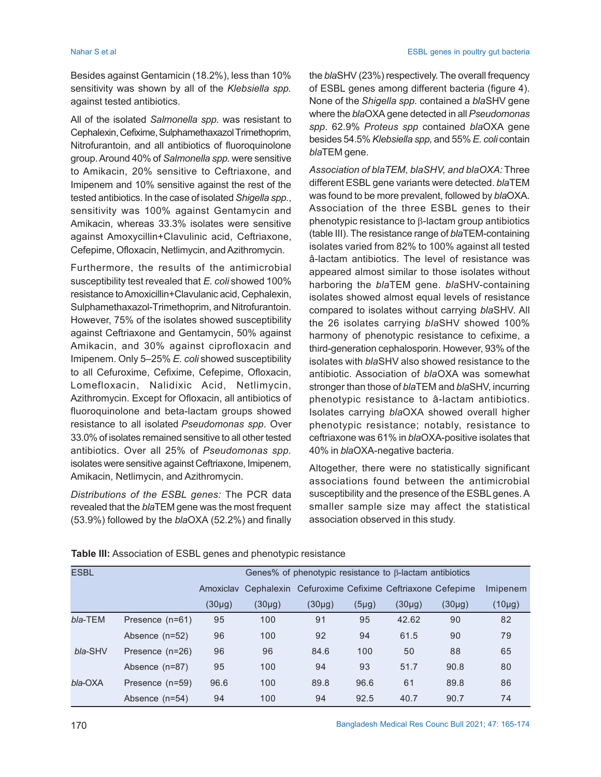Besides against Gentamicin (18.2%), less than 10% sensitivity was shown by all of the *Klebsiella spp.* against tested antibiotics.

All of the isolated *Salmonella spp.* was resistant to Cephalexin, Cefixime, Sulphamethaxazol Trimethoprim, Nitrofurantoin, and all antibiotics of fluoroquinolone group. Around 40% of *Salmonella spp.* were sensitive to Amikacin, 20% sensitive to Ceftriaxone, and Imipenem and 10% sensitive against the rest of the tested antibiotics. In the case of isolated *Shigella spp.*, sensitivity was 100% against Gentamycin and Amikacin, whereas 33.3% isolates were sensitive against Amoxycillin+Clavulinic acid, Ceftriaxone, Cefepime, Ofloxacin, Netlimycin, and Azithromycin.

Furthermore, the results of the antimicrobial susceptibility test revealed that *E. coli* showed 100% resistance to Amoxicillin+Clavulanic acid, Cephalexin, Sulphamethaxazol-Trimethoprim, and Nitrofurantoin. However, 75% of the isolates showed susceptibility against Ceftriaxone and Gentamycin, 50% against Amikacin, and 30% against ciprofloxacin and Imipenem. Only 5–25% *E. coli* showed susceptibility to all Cefuroxime, Cefixime, Cefepime, Ofloxacin, Lomefloxacin, Nalidixic Acid, Netlimycin, Azithromycin. Except for Ofloxacin, all antibiotics of fluoroquinolone and beta-lactam groups showed resistance to all isolated *Pseudomonas spp*. Over 33.0% of isolates remained sensitive to all other tested antibiotics. Over all 25% of *Pseudomonas spp.* isolates were sensitive against Ceftriaxone, Imipenem, Amikacin, Netlimycin, and Azithromycin.

*Distributions of the ESBL genes:* The PCR data revealed that the *bla*TEM gene was the most frequent (53.9%) followed by the *bla*OXA (52.2%) and finally the *bla*SHV (23%) respectively. The overall frequency of ESBL genes among different bacteria (figure 4). None of the *Shigella spp.* contained a *bla*SHV gene where the *bla*OXA gene detected in all *Pseudomonas spp*. 62.9% *Proteus spp* contained *bla*OXA gene besides 54.5% *Klebsiella spp,* and 55% *E. coli* contain *bla*TEM gene.

*Association of blaTEM, blaSHV, and blaOXA:* Three different ESBL gene variants were detected. *bla*TEM was found to be more prevalent, followed by *bla*OXA. Association of the three ESBL genes to their phenotypic resistance to  $\beta$ -lactam group antibiotics (table III). The resistance range of *bla*TEM-containing isolates varied from 82% to 100% against all tested â-lactam antibiotics. The level of resistance was appeared almost similar to those isolates without harboring the *bla*TEM gene. *bla*SHV-containing isolates showed almost equal levels of resistance compared to isolates without carrying *bla*SHV. All the 26 isolates carrying *bla*SHV showed 100% harmony of phenotypic resistance to cefixime, a third-generation cephalosporin. However, 93% of the isolates with *bla*SHV also showed resistance to the antibiotic. Association of *bla*OXA was somewhat stronger than those of *bla*TEM and *bla*SHV, incurring phenotypic resistance to â-lactam antibiotics. Isolates carrying *bla*OXA showed overall higher phenotypic resistance; notably, resistance to ceftriaxone was 61% in *bla*OXA-positive isolates that 40% in *bla*OXA-negative bacteria.

Altogether, there were no statistically significant associations found between the antimicrobial susceptibility and the presence of the ESBL genes. A smaller sample size may affect the statistical association observed in this study.

| <b>ESBL</b> |                 |           | Genes% of phenotypic resistance to $\beta$ -lactam antibiotics |                                                     |           |             |             |             |
|-------------|-----------------|-----------|----------------------------------------------------------------|-----------------------------------------------------|-----------|-------------|-------------|-------------|
|             |                 | Amoxiclav |                                                                | Cephalexin Cefuroxime Cefixime Ceftriaxone Cefepime |           |             |             | Imipenem    |
|             |                 | (30µg)    | $(30\mu g)$                                                    | $(30\mu g)$                                         | $(5\mug)$ | $(30\mu g)$ | $(30\mu g)$ | $(10\mu g)$ |
| bla-TEM     | Presence (n=61) | 95        | 100                                                            | 91                                                  | 95        | 42.62       | 90          | 82          |
|             | Absence (n=52)  | 96        | 100                                                            | 92                                                  | 94        | 61.5        | 90          | 79          |
| bla-SHV     | Presence (n=26) | 96        | 96                                                             | 84.6                                                | 100       | 50          | 88          | 65          |
|             | Absence (n=87)  | 95        | 100                                                            | 94                                                  | 93        | 51.7        | 90.8        | 80          |
| bla-OXA     | Presence (n=59) | 96.6      | 100                                                            | 89.8                                                | 96.6      | 61          | 89.8        | 86          |
|             | Absence (n=54)  | 94        | 100                                                            | 94                                                  | 92.5      | 40.7        | 90.7        | 74          |

### **Table III:** Association of ESBL genes and phenotypic resistance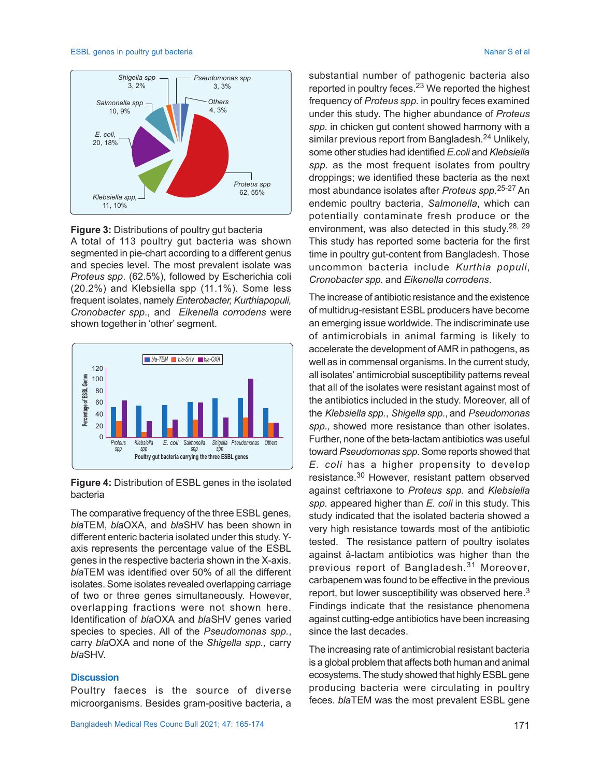### ESBL genes in poultry gut bacteria Nahar S et al. Nahar S et al. Nahar S et al. Nahar S et al. Nahar S et al.



**Figure 3:** Distributions of poultry gut bacteria A total of 113 poultry gut bacteria was shown segmented in pie-chart according to a different genus and species level. The most prevalent isolate was *Proteus spp*. (62.5%), followed by Escherichia coli (20.2%) and Klebsiella spp (11.1%). Some less frequent isolates, namely *Enterobacter, Kurthiapopuli, Cronobacter spp*., and *Eikenella corrodens* were shown together in 'other' segment.





The comparative frequency of the three ESBL genes, *bla*TEM, *bla*OXA, and *bla*SHV has been shown in different enteric bacteria isolated under this study. Yaxis represents the percentage value of the ESBL genes in the respective bacteria shown in the X-axis. *bla*TEM was identified over 50% of all the different isolates. Some isolates revealed overlapping carriage of two or three genes simultaneously. However, overlapping fractions were not shown here. Identification of *bla*OXA and *bla*SHV genes varied species to species. All of the *Pseudomonas spp.*, carry *bla*OXA and none of the *Shigella spp.,* carry *bla*SHV.

### **Discussion**

Poultry faeces is the source of diverse microorganisms. Besides gram-positive bacteria, a

substantial number of pathogenic bacteria also reported in poultry feces.<sup>23</sup> We reported the highest frequency of *Proteus spp.* in poultry feces examined under this study. The higher abundance of *Proteus spp.* in chicken gut content showed harmony with a similar previous report from Bangladesh.<sup>24</sup> Unlikely, some other studies had identified *E.coli* and *Klebsiella spp.* as the most frequent isolates from poultry droppings; we identified these bacteria as the next most abundance isolates after *Proteus spp.*25-27 An endemic poultry bacteria, *Salmonella*, which can potentially contaminate fresh produce or the environment, was also detected in this study.<sup>28, 29</sup> This study has reported some bacteria for the first time in poultry gut-content from Bangladesh. Those uncommon bacteria include *Kurthia populi*, *Cronobacter spp.* and *Eikenella corrodens*.

The increase of antibiotic resistance and the existence of multidrug-resistant ESBL producers have become an emerging issue worldwide. The indiscriminate use of antimicrobials in animal farming is likely to accelerate the development of AMR in pathogens, as well as in commensal organisms. In the current study, all isolates' antimicrobial susceptibility patterns reveal that all of the isolates were resistant against most of the antibiotics included in the study. Moreover, all of the *Klebsiella spp.*, *Shigella spp.*, and *Pseudomonas spp.,* showed more resistance than other isolates. Further, none of the beta-lactam antibiotics was useful toward *Pseudomonas spp*. Some reports showed that *E. coli* has a higher propensity to develop resistance.30 However, resistant pattern observed against ceftriaxone to *Proteus spp.* and *Klebsiella spp.* appeared higher than *E. coli* in this study. This study indicated that the isolated bacteria showed a very high resistance towards most of the antibiotic tested. The resistance pattern of poultry isolates against â-lactam antibiotics was higher than the previous report of Bangladesh.<sup>31</sup> Moreover, carbapenem was found to be effective in the previous report, but lower susceptibility was observed here.<sup>3</sup> Findings indicate that the resistance phenomena against cutting-edge antibiotics have been increasing since the last decades.

The increasing rate of antimicrobial resistant bacteria is a global problem that affects both human and animal ecosystems. The study showed that highly ESBL gene producing bacteria were circulating in poultry feces. *bla*TEM was the most prevalent ESBL gene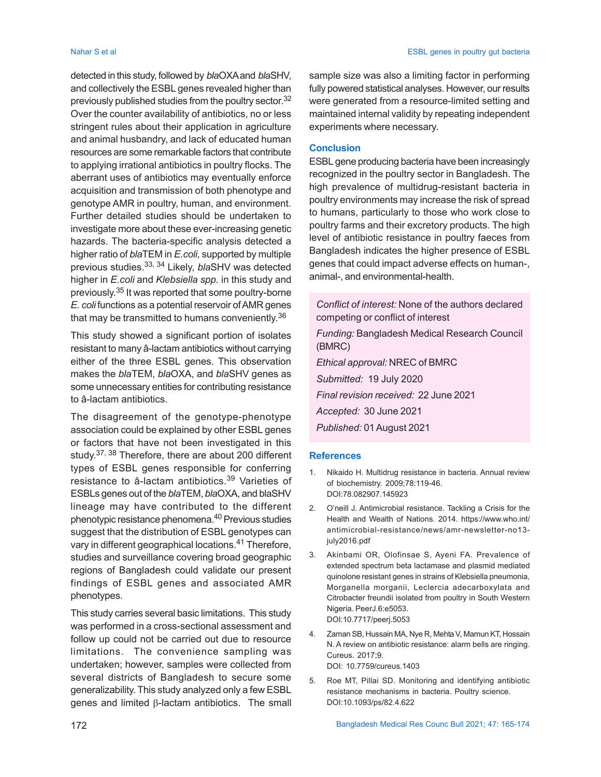detected in this study, followed by *bla*OXA and *bla*SHV, and collectively the ESBL genes revealed higher than previously published studies from the poultry sector.<sup>32</sup> Over the counter availability of antibiotics, no or less stringent rules about their application in agriculture and animal husbandry, and lack of educated human resources are some remarkable factors that contribute to applying irrational antibiotics in poultry flocks. The aberrant uses of antibiotics may eventually enforce acquisition and transmission of both phenotype and genotype AMR in poultry, human, and environment. Further detailed studies should be undertaken to investigate more about these ever-increasing genetic hazards. The bacteria-specific analysis detected a higher ratio of *bla*TEM in *E.coli,* supported by multiple previous studies.33, 34 Likely, *bla*SHV was detected higher in *E.coli* and *Klebsiella spp.* in this study and previously. <sup>35</sup> It was reported that some poultry-borne *E. coli* functions as a potential reservoir of AMR genes that may be transmitted to humans conveniently. $^{\rm 36}$ 

This study showed a significant portion of isolates resistant to many â-lactam antibiotics without carrying either of the three ESBL genes. This observation makes the *bla*TEM, *bla*OXA, and *bla*SHV genes as some unnecessary entities for contributing resistance to â-lactam antibiotics.

The disagreement of the genotype-phenotype association could be explained by other ESBL genes or factors that have not been investigated in this study.<sup>37, 38</sup> Therefore, there are about 200 different types of ESBL genes responsible for conferring resistance to â-lactam antibiotics.39 Varieties of ESBLs genes out of the *bla*TEM, *bla*OXA, and blaSHV lineage may have contributed to the different phenotypic resistance phenomena.40 Previous studies suggest that the distribution of ESBL genotypes can vary in different geographical locations.41 Therefore, studies and surveillance covering broad geographic regions of Bangladesh could validate our present findings of ESBL genes and associated AMR phenotypes.

This study carries several basic limitations. This study was performed in a cross-sectional assessment and follow up could not be carried out due to resource limitations. The convenience sampling was undertaken; however, samples were collected from several districts of Bangladesh to secure some generalizability. This study analyzed only a few ESBL genes and limited  $\beta$ -lactam antibiotics. The small

sample size was also a limiting factor in performing fully powered statistical analyses. However, our results were generated from a resource-limited setting and maintained internal validity by repeating independent experiments where necessary.

### **Conclusion**

ESBL gene producing bacteria have been increasingly recognized in the poultry sector in Bangladesh. The high prevalence of multidrug-resistant bacteria in poultry environments may increase the risk of spread to humans, particularly to those who work close to poultry farms and their excretory products. The high level of antibiotic resistance in poultry faeces from Bangladesh indicates the higher presence of ESBL genes that could impact adverse effects on human-, animal-, and environmental-health.

*Conflict of interest:* None of the authors declared competing or conflict of interest

*Funding:* Bangladesh Medical Research Council (BMRC) *Ethical approval:* NREC of BMRC

*Submitted:* 19 July 2020

*Final revision received:* 22 June 2021

*Accepted:* 30 June 2021

*Published:* 01August 2021

### **References**

- 1. Nikaido H. Multidrug resistance in bacteria. Annual review of biochemistry. 2009;78:119-46. DOI:78.082907.145923
- 2. O'neill J. Antimicrobial resistance. Tackling a Crisis for the Health and Wealth of Nations. 2014. https://www.who.int/ antimicrobial-resistance/news/amr-newsletter-no13 july2016.pdf
- 3. Akinbami OR, Olofinsae S, Ayeni FA. Prevalence of extended spectrum beta lactamase and plasmid mediated quinolone resistant genes in strains of Klebsiella pneumonia, Morganella morganii, Leclercia adecarboxylata and Citrobacter freundii isolated from poultry in South Western Nigeria. PeerJ.6:e5053. DOI:10.7717/peerj.5053
- 4. Zaman SB, Hussain MA, Nye R, Mehta V, Mamun KT, Hossain N. A review on antibiotic resistance: alarm bells are ringing. Cureus. 2017;9. DOI: 10.7759/cureus.1403
- 5. Roe MT, Pillai SD. Monitoring and identifying antibiotic resistance mechanisms in bacteria. Poultry science. DOI:10.1093/ps/82.4.622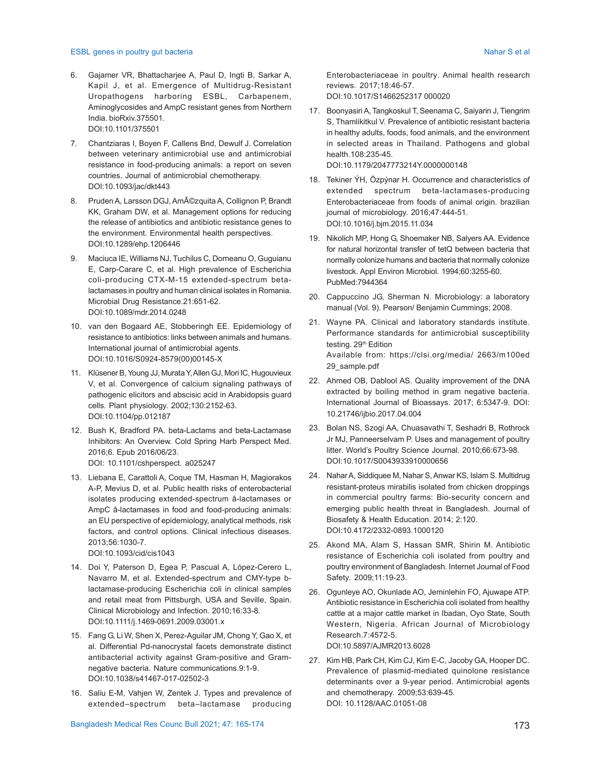### ESBL genes in poultry gut bacteria Nahar S et al. (1999) and the set al. (1999) and the set al. (1999) and the set al. (1999) and the set al. (1999) and the set al. (1999) and the set al. (1999) and the set al. (1999) and

- 6. Gajamer VR, Bhattacharjee A, Paul D, Ingti B, Sarkar A, Kapil J, et al. Emergence of Multidrug-Resistant Uropathogens harboring ESBL, Carbapenem, Aminoglycosides and AmpC resistant genes from Northern India. bioRxiv.375501. DOI:10.1101/375501
- 7. Chantziaras I, Boyen F, Callens Bnd, Dewulf J. Correlation between veterinary antimicrobial use and antimicrobial resistance in food-producing animals: a report on seven countries. Journal of antimicrobial chemotherapy. DOI:10.1093/jac/dkt443
- 8. Pruden A, Larsson DGJ, Amézquita A, Collignon P, Brandt KK, Graham DW, et al. Management options for reducing the release of antibiotics and antibiotic resistance genes to the environment. Environmental health perspectives. DOI:10.1289/ehp.1206446
- 9. Maciuca IE, Williams NJ, Tuchilus C, Dorneanu O, Guguianu E, Carp-Carare C, et al. High prevalence of Escherichia coli-producing CTX-M-15 extended-spectrum betalactamases in poultry and human clinical isolates in Romania. Microbial Drug Resistance.21:651-62. DOI:10.1089/mdr.2014.0248
- 10. van den Bogaard AE, Stobberingh EE. Epidemiology of resistance to antibiotics: links between animals and humans. International journal of antimicrobial agents. DOI:10.1016/S0924-8579(00)00145-X
- 11. Klüsener B, Young JJ, Murata Y, Allen GJ, Mori IC, Hugouvieux V, et al. Convergence of calcium signaling pathways of pathogenic elicitors and abscisic acid in Arabidopsis guard cells. Plant physiology. 2002;130:2152-63. DOI:10.1104/pp.012187
- 12. Bush K, Bradford PA. beta-Lactams and beta-Lactamase Inhibitors: An Overview. Cold Spring Harb Perspect Med. 2016;6. Epub 2016/06/23. DOI: 10.1101/cshperspect. a025247
- 13. Liebana E, Carattoli A, Coque TM, Hasman H, Magiorakos A-P, Mevius D, et al. Public health risks of enterobacterial isolates producing extended-spectrum â-lactamases or AmpC â-lactamases in food and food-producing animals: an EU perspective of epidemiology, analytical methods, risk factors, and control options. Clinical infectious diseases. 2013;56:1030-7.

DOI:10.1093/cid/cis1043

- 14. Doi Y, Paterson D, Egea P, Pascual A, López-Cerero L, Navarro M, et al. Extended-spectrum and CMY-type blactamase-producing Escherichia coli in clinical samples and retail meat from Pittsburgh, USA and Seville, Spain. Clinical Microbiology and Infection. 2010;16:33-8. DOI:10.1111/j.1469-0691.2009.03001.x
- 15. Fang G, Li W, Shen X, Perez-Aguilar JM, Chong Y, Gao X, et al. Differential Pd-nanocrystal facets demonstrate distinct antibacterial activity against Gram-positive and Gramnegative bacteria. Nature communications.9:1-9. DOI:10.1038/s41467-017-02502-3
- 16. Saliu E-M, Vahjen W, Zentek J. Types and prevalence of extended–spectrum beta–lactamase producing

Enterobacteriaceae in poultry. Animal health research reviews. 2017;18:46-57. DOI:10.1017/S1466252317 000020

- 17. Boonyasiri A, Tangkoskul T, Seenama C, Saiyarin J, Tiengrim S, Thamlikitkul V. Prevalence of antibiotic resistant bacteria in healthy adults, foods, food animals, and the environment in selected areas in Thailand. Pathogens and global health.108:235-45. DOI:10.1179/2047773214Y.0000000148
- 18. Tekiner ÝH, Özpýnar H. Occurrence and characteristics of extended spectrum beta-lactamases-producing Enterobacteriaceae from foods of animal origin. brazilian journal of microbiology. 2016;47:444-51. DOI:10.1016/j.bjm.2015.11.034
- 19. Nikolich MP, Hong G, Shoemaker NB, Salyers AA. Evidence for natural horizontal transfer of tetQ between bacteria that normally colonize humans and bacteria that normally colonize livestock. Appl Environ Microbiol. 1994;60:3255-60. PubMed:7944364
- 20. Cappuccino JG, Sherman N. Microbiology: a laboratory manual (Vol. 9). Pearson/ Benjamin Cummings; 2008.
- 21. Wayne PA. Clinical and laboratory standards institute. Performance standards for antimicrobial susceptibility testing. 29<sup>th</sup> Edition Available from: https://clsi.org/media/ 2663/m100ed 29\_sample.pdf
- 22. Ahmed OB, Dablool AS. Quality improvement of the DNA extracted by boiling method in gram negative bacteria. International Journal of Bioassays. 2017; 6:5347-9. DOI: 10.21746/ijbio.2017.04.004
- 23. Bolan NS, Szogi AA, Chuasavathi T, Seshadri B, Rothrock Jr MJ, Panneerselvam P. Uses and management of poultry litter. World's Poultry Science Journal. 2010;66:673-98. DOI:10.1017/S0043933910000656
- 24. Nahar A, Siddiquee M, Nahar S, Anwar KS, Islam S. Multidrug resistant-proteus mirabilis isolated from chicken droppings in commercial poultry farms: Bio-security concern and emerging public health threat in Bangladesh. Journal of Biosafety & Health Education. 2014; 2:120. DOI:10.4172/2332-0893.1000120
- 25. Akond MA, Alam S, Hassan SMR, Shirin M. Antibiotic resistance of Escherichia coli isolated from poultry and poultry environment of Bangladesh. Internet Journal of Food Safety. 2009;11:19-23.
- 26. Ogunleye AO, Okunlade AO, Jeminlehin FO, Ajuwape ATP. Antibiotic resistance in Escherichia coli isolated from healthy cattle at a major cattle market in Ibadan, Oyo State, South Western, Nigeria. African Journal of Microbiology Research.7:4572-5. DOI:10.5897/AJMR2013.6028
- 27. Kim HB, Park CH, Kim CJ, Kim E-C, Jacoby GA, Hooper DC. Prevalence of plasmid-mediated quinolone resistance determinants over a 9-year period. Antimicrobial agents and chemotherapy. 2009;53:639-45. DOI: 10.1128/AAC.01051-08